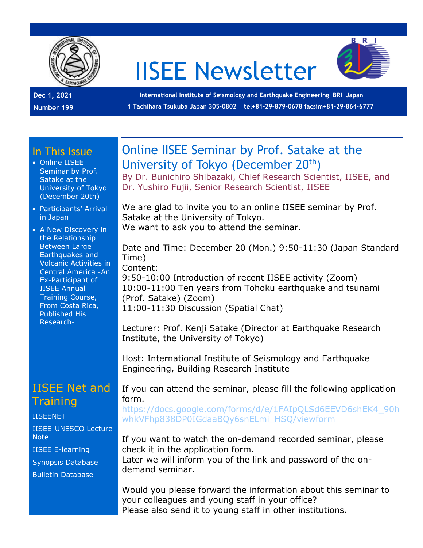

# IISEE Newsletter



**International Institute of Seismology and Earthquake Engineering BRI Japan 1 Tachihara Tsukuba Japan 305-0802 tel+81-29-879-0678 facsim+81-29-864-6777**

#### In This Issue

- Online IISEE Seminar by Prof. Satake at the University of Tokyo (December 20th)
- Participants' Arrival in Japan
- A New Discovery in the Relationship Between Large Earthquakes and Volcanic Activities in Central America -An Ex-Participant of IISEE Annual Training Course, From Costa Rica, Published His Research-

## IISEE Net and **Training**

[IISEENET](http://iisee.kenken.go.jp/net/) [IISEE-UNESCO Lecture](http://iisee/lna/)  **[Note](http://iisee/lna/)** [IISEE E-learning](http://iisee/el/) [Synopsis Database](http://iisee/syndb/) [Bulletin Database](http://iisee/bltndb/)

# Online IISEE Seminar by Prof. Satake at the University of Tokyo (December 20<sup>th</sup>)

By Dr. Bunichiro Shibazaki, Chief Research Scientist, IISEE, and Dr. Yushiro Fujii, Senior Research Scientist, IISEE

We are glad to invite you to an online IISEE seminar by Prof. Satake at the University of Tokyo. We want to ask you to attend the seminar.

Date and Time: December 20 (Mon.) 9:50-11:30 (Japan Standard Time) Content: 9:50-10:00 Introduction of recent IISEE activity (Zoom) 10:00-11:00 Ten years from Tohoku earthquake and tsunami (Prof. Satake) (Zoom) 11:00-11:30 Discussion (Spatial Chat)

Lecturer: Prof. Kenji Satake (Director at Earthquake Research Institute, the University of Tokyo)

Host: International Institute of Seismology and Earthquake Engineering, Building Research Institute

If you can attend the seminar, please fill the following application form.

[https://docs.google.com/forms/d/e/1FAIpQLSd6EEVD6shEK4\\_90h](https://docs.google.com/forms/d/e/1FAIpQLSd6EEVD6shEK4_90hwhkVFhp838DP0IGdaaBQy6snELmi_HSQ/viewform) [whkVFhp838DP0IGdaaBQy6snELmi\\_HSQ/viewform](https://docs.google.com/forms/d/e/1FAIpQLSd6EEVD6shEK4_90hwhkVFhp838DP0IGdaaBQy6snELmi_HSQ/viewform)

If you want to watch the on-demand recorded seminar, please check it in the application form.

Later we will inform you of the link and password of the ondemand seminar.

Would you please forward the information about this seminar to your colleagues and young staff in your office? Please also send it to young staff in other institutions.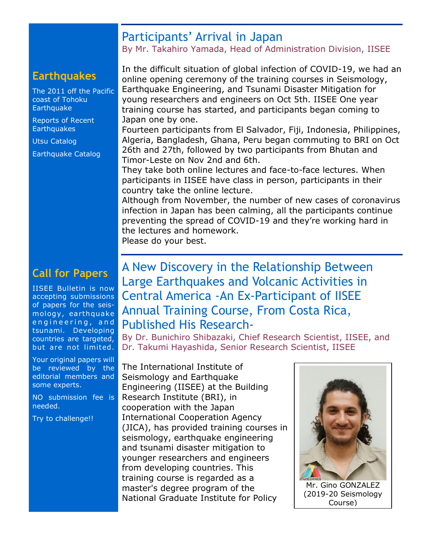## Participants' Arrival in Japan

By Mr. Takahiro Yamada, Head of Administration Division, IISEE

## **Earthquakes**

[The 2011 off the Pacific](http://iisee/special2/20110311tohoku.htm)  [coast of Tohoku](http://iisee/special2/20110311tohoku.htm)  **[Earthquake](http://iisee/special2/20110311tohoku.htm)** 

[Reports of Recent](http://iisee/quakes.htm)  **[Earthquakes](http://iisee/quakes.htm)** 

[Utsu Catalog](http://iisee/utsu/index_eng.html)

[Earthquake Catalog](http://iisee/eqcat/Top_page_en.htm)

# **Call for Papers**

IISEE Bulletin is now accepting submissions of papers for the seismology, earthquake engineering, and tsunami. Developing countries are targeted, but are not limited.

Your original papers will be reviewed by the editorial members and some experts.

NO submission fee is needed.

Try to challenge!!

In the difficult situation of global infection of COVID-19, we had an online opening ceremony of the training courses in Seismology, Earthquake Engineering, and Tsunami Disaster Mitigation for young researchers and engineers on Oct 5th. IISEE One year training course has started, and participants began coming to Japan one by one.

Fourteen participants from El Salvador, Fiji, Indonesia, Philippines, Algeria, Bangladesh, Ghana, Peru began commuting to BRI on Oct 26th and 27th, followed by two participants from Bhutan and Timor-Leste on Nov 2nd and 6th.

They take both online lectures and face-to-face lectures. When participants in IISEE have class in person, participants in their country take the online lecture.

Although from November, the number of new cases of coronavirus infection in Japan has been calming, all the participants continue preventing the spread of COVID-19 and they're working hard in the lectures and homework.

Please do your best.

# A New Discovery in the Relationship Between Large Earthquakes and Volcanic Activities in Central America -An Ex-Participant of IISEE Annual Training Course, From Costa Rica, Published His Research-

By Dr. Bunichiro Shibazaki, Chief Research Scientist, IISEE, and Dr. Takumi Hayashida, Senior Research Scientist, IISEE

The International Institute of Seismology and Earthquake Engineering (IISEE) at the Building Research Institute (BRI), in cooperation with the Japan International Cooperation Agency (JICA), has provided training courses in seismology, earthquake engineering and tsunami disaster mitigation to younger researchers and engineers from developing countries. This training course is regarded as a master's degree program of the National Graduate Institute for Policy



Mr. Gino GONZALEZ (2019-20 Seismology Course)